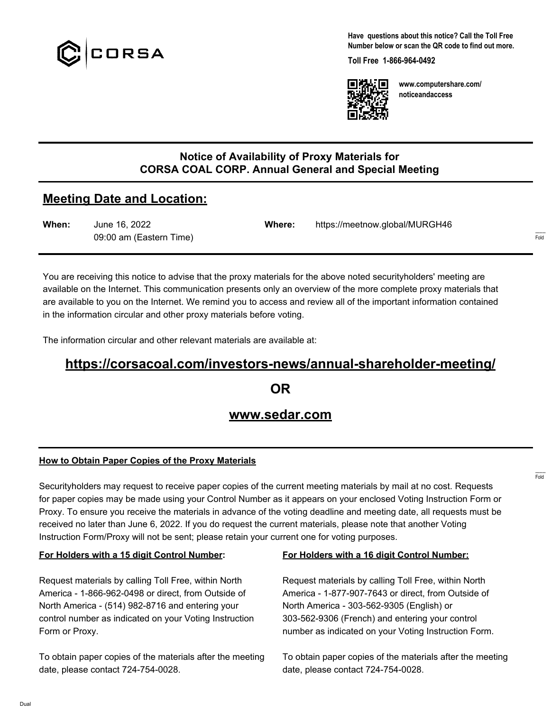

**Have questions about this notice? Call the Toll Free Number below or scan the QR code to find out more.**

**Toll Free 1-866-964-0492**



**www.computershare.com/ noticeandaccess**

### **Notice of Availability of Proxy Materials for CORSA COAL CORP. Annual General and Special Meeting**

# **Meeting Date and Location:**

| When: | June 16, 2022           | Where: | https://meetnow.global/MURGH46 |
|-------|-------------------------|--------|--------------------------------|
|       | 09:00 am (Eastern Time) |        |                                |

You are receiving this notice to advise that the proxy materials for the above noted securityholders' meeting are available on the Internet. This communication presents only an overview of the more complete proxy materials that are available to you on the Internet. We remind you to access and review all of the important information contained in the information circular and other proxy materials before voting.

The information circular and other relevant materials are available at:

# **https://corsacoal.com/investors-news/annual-shareholder-meeting/**

**OR**

## **www.sedar.com**

#### **How to Obtain Paper Copies of the Proxy Materials**

Securityholders may request to receive paper copies of the current meeting materials by mail at no cost. Requests for paper copies may be made using your Control Number as it appears on your enclosed Voting Instruction Form or Proxy. To ensure you receive the materials in advance of the voting deadline and meeting date, all requests must be received no later than June 6, 2022. If you do request the current materials, please note that another Voting Instruction Form/Proxy will not be sent; please retain your current one for voting purposes.

#### **For Holders with a 15 digit Control Number:**

Request materials by calling Toll Free, within North America - 1-866-962-0498 or direct, from Outside of North America - (514) 982-8716 and entering your control number as indicated on your Voting Instruction Form or Proxy.

To obtain paper copies of the materials after the meeting date, please contact 724-754-0028.

#### **For Holders with a 16 digit Control Number:**

Request materials by calling Toll Free, within North America - 1-877-907-7643 or direct, from Outside of North America - 303-562-9305 (English) or 303-562-9306 (French) and entering your control number as indicated on your Voting Instruction Form.

To obtain paper copies of the materials after the meeting date, please contact 724-754-0028.

------- Fold